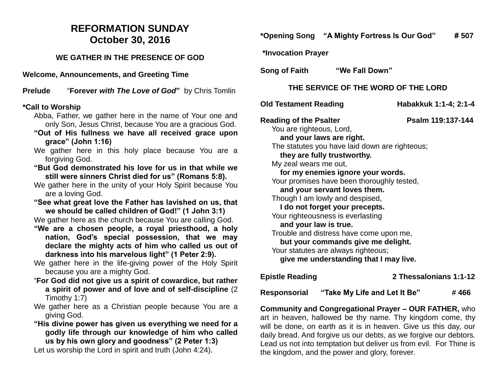## **REFORMATION SUNDAY October 30, 2016**

#### **WE GATHER IN THE PRESENCE OF GOD**

**Welcome, Announcements, and Greeting Time** 

**Prelude** "**Forever** *with The Love of God***"** by Chris Tomlin

#### **\*Call to Worship**

- Abba, Father, we gather here in the name of Your one and only Son, Jesus Christ, because You are a gracious God.
- **"Out of His fullness we have all received grace upon grace" (John 1:16)**
- We gather here in this holy place because You are a forgiving God.
- **"But God demonstrated his love for us in that while we still were sinners Christ died for us" (Romans 5:8).**
- We gather here in the unity of your Holy Spirit because You are a loving God.
- **"See what great love the Father has lavished on us, that we should be called children of God!" (1 John 3:1)**

We gather here as the church because You are calling God.

- **"We are a chosen people, a royal priesthood, a holy nation, God's special possession, that we may declare the mighty acts of him who called us out of darkness into his marvelous light" (1 Peter 2:9).**
- We gather here in the life-giving power of the Holy Spirit because you are a mighty God.
- "**For God did not give us a spirit of cowardice, but rather a spirit of power and of love and of self-discipline** (2 Timothy 1:7)
- We gather here as a Christian people because You are a giving God.
- **"His divine power has given us everything we need for a godly life through our knowledge of him who called us by his own glory and goodness" (2 Peter 1:3)**

Let us worship the Lord in spirit and truth (John 4:24).

### **\*Opening Song "A Mighty Fortress Is Our God" # 507**

**\*Invocation Prayer** 

**Song of Faith "We Fall Down"**

#### **THE SERVICE OF THE WORD OF THE LORD**

**Old Testament Reading Habakkuk 1:1-4; 2:1-4** 

**Reading of the Psalter Property Psalm 119:137-144** 

You are righteous, Lord,

 **and your laws are right.** The statutes you have laid down are righteous;  **they are fully trustworthy.**

My zeal wears me out,

 **for my enemies ignore your words.**

Your promises have been thoroughly tested,

 **and your servant loves them.**

Though I am lowly and despised,

 **I do not forget your precepts.**

Your righteousness is everlasting

#### **and your law is true.**

Trouble and distress have come upon me,

 **but your commands give me delight.**

Your statutes are always righteous:

 **give me understanding that I may live.**

**Epistle Reading 2 Thessalonians 1:1-12** 

Responsorial "Take My Life and Let It Be" #466

**Community and Congregational Prayer – OUR FATHER,** who art in heaven, hallowed be thy name. Thy kingdom come, thy will be done, on earth as it is in heaven. Give us this day, our daily bread. And forgive us our debts, as we forgive our debtors. Lead us not into temptation but deliver us from evil. For Thine is the kingdom, and the power and glory, forever.